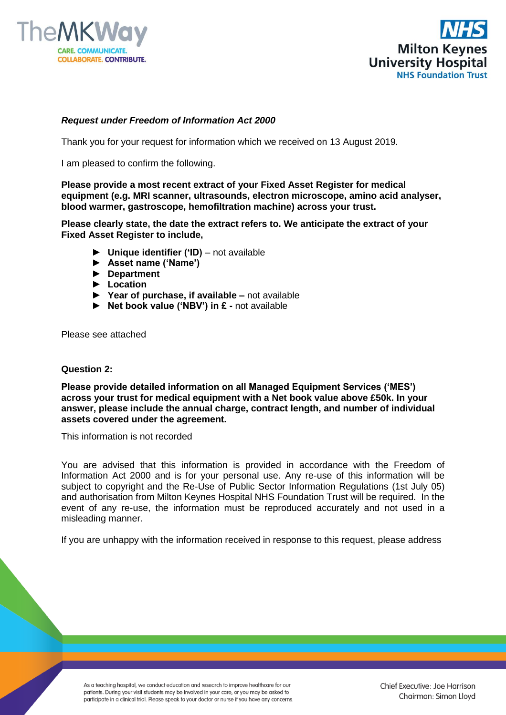



## *Request under Freedom of Information Act 2000*

Thank you for your request for information which we received on 13 August 2019.

I am pleased to confirm the following.

**Please provide a most recent extract of your Fixed Asset Register for medical equipment (e.g. MRI scanner, ultrasounds, electron microscope, amino acid analyser, blood warmer, gastroscope, hemofiltration machine) across your trust.**

**Please clearly state, the date the extract refers to. We anticipate the extract of your Fixed Asset Register to include,**

- **► Unique identifier ('ID)**  not available
- **► Asset name ('Name')**
- **► Department**
- **► Location**
- **► Year of purchase, if available –** not available
- **► Net book value ('NBV') in £ -** not available

Please see attached

## **Question 2:**

**Please provide detailed information on all Managed Equipment Services ('MES') across your trust for medical equipment with a Net book value above £50k. In your answer, please include the annual charge, contract length, and number of individual assets covered under the agreement.**

This information is not recorded

You are advised that this information is provided in accordance with the Freedom of Information Act 2000 and is for your personal use. Any re-use of this information will be subject to copyright and the Re-Use of Public Sector Information Regulations (1st July 05) and authorisation from Milton Keynes Hospital NHS Foundation Trust will be required. In the event of any re-use, the information must be reproduced accurately and not used in a misleading manner.

If you are unhappy with the information received in response to this request, please address

As a teaching hospital, we conduct education and research to improve healthcare for our patients. During your visit students may be involved in your care, or you may be asked to participate in a clinical trial. Please speak to your doctor or nurse if you have any concerns. Chief Executive: Joe Harrison Chairman: Simon Lloyd